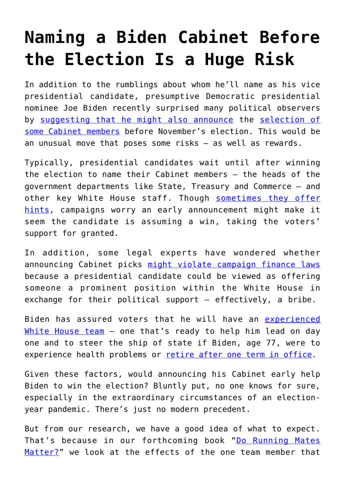## **[Naming a Biden Cabinet Before](https://intellectualtakeout.org/2020/05/naming-a-biden-cabinet-before-the-election-is-a-huge-risk/) [the Election Is a Huge Risk](https://intellectualtakeout.org/2020/05/naming-a-biden-cabinet-before-the-election-is-a-huge-risk/)**

In addition to the rumblings about whom he'll name as his vice presidential candidate, presumptive Democratic presidential nominee Joe Biden recently surprised many political observers by [suggesting that he might also announce](https://www.washingtonpost.com/politics/biden-says-hes-already-choosing-a-presidential-transition-team/2020/04/17/63cbb5b4-805e-11ea-9040-68981f488eed_story.html) the [selection of](https://www.businessinsider.com/who-joe-biden-will-appoint-to-top-cabinet-positions-axios-2020-3) [some Cabinet members](https://www.businessinsider.com/who-joe-biden-will-appoint-to-top-cabinet-positions-axios-2020-3) before November's election. This would be an unusual move that poses some risks – as well as rewards.

Typically, presidential candidates wait until after winning the election to name their Cabinet members – the heads of the government departments like State, Treasury and Commerce – and other key White House staff. Though [sometimes they offer](https://www.nytimes.com/2000/10/26/opinion/essay-the-great-mentioning.html) [hints,](https://www.nytimes.com/2000/10/26/opinion/essay-the-great-mentioning.html) campaigns worry an early announcement might make it seem the candidate is assuming a win, taking the voters' support for granted.

In addition, some legal experts have wondered whether announcing Cabinet picks [might violate campaign finance laws](https://www.nationalreview.com/2016/05/donald-trump-cabinet-picks-convention-announcement-legal-questions/) because a presidential candidate could be viewed as offering someone a prominent position within the White House in exchange for their political support – effectively, a bribe.

Biden has assured voters that he will have an [experienced](https://www.nytimes.com/2020/04/07/opinion/biden-campaign-covid.html) [White House team](https://www.nytimes.com/2020/04/07/opinion/biden-campaign-covid.html) - one that's ready to help him lead on day one and to steer the ship of state if Biden, age 77, were to experience health problems or [retire after one term in office](https://www.politico.com/news/2019/12/11/biden-single-term-082129).

Given these factors, would announcing his Cabinet early help Biden to win the election? Bluntly put, no one knows for sure, especially in the extraordinary circumstances of an electionyear pandemic. There's just no modern precedent.

But from our research, we have a good idea of what to expect. That's because in our forthcoming book "[Do Running Mates](https://kansaspress.ku.edu/runningmates) [Matter?](https://kansaspress.ku.edu/runningmates)" we look at the effects of the one team member that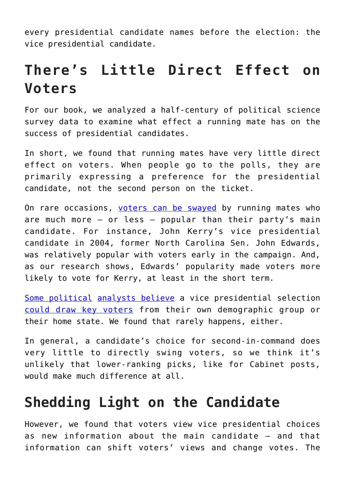every presidential candidate names before the election: the vice presidential candidate.

## **There's Little Direct Effect on Voters**

For our book, we analyzed a half-century of political science survey data to examine what effect a running mate has on the success of presidential candidates.

In short, we found that running mates have very little direct effect on voters. When people go to the polls, they are primarily expressing a preference for the presidential candidate, not the second person on the ticket.

On rare occasions, [voters can be swayed](https://manchesteruniversitypress.co.uk/9781784993382/) by running mates who are much more  $-$  or less  $-$  popular than their party's main candidate. For instance, John Kerry's vice presidential candidate in 2004, former North Carolina Sen. John Edwards, was relatively popular with voters early in the campaign. And, as our research shows, Edwards' popularity made voters more likely to vote for Kerry, at least in the short term.

[Some political](https://www.politico.com/news/magazine/2020/03/17/bidens-top-12-running-mates-ranked-134256) [analysts believe](https://www.nationalreview.com/2015/08/five-reasons-why-kasich-rubio-right-2016-ticket-myra-adams/) a vice presidential selection [could draw key voters](http://centerforpolitics.org/crystalball/articles/veepwatch-part-2-first-do-no-harm-our-vp-contenders/) from their own demographic group or their home state. We found that rarely happens, either.

In general, a candidate's choice for second-in-command does very little to directly swing voters, so we think it's unlikely that lower-ranking picks, like for Cabinet posts, would make much difference at all.

## **Shedding Light on the Candidate**

However, we found that voters view vice presidential choices as new information about the main candidate – and that information can shift voters' views and change votes. The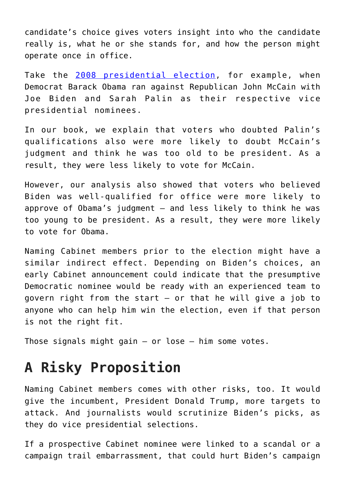candidate's choice gives voters insight into who the candidate really is, what he or she stands for, and how the person might operate once in office.

Take the [2008 presidential election](https://www.nytimes.com/elections/2008/results/president/votes.html), for example, when Democrat Barack Obama ran against Republican John McCain with Joe Biden and Sarah Palin as their respective vice presidential nominees.

In our book, we explain that voters who doubted Palin's qualifications also were more likely to doubt McCain's judgment and think he was too old to be president. As a result, they were less likely to vote for McCain.

However, our analysis also showed that voters who believed Biden was well-qualified for office were more likely to approve of Obama's judgment – and less likely to think he was too young to be president. As a result, they were more likely to vote for Obama.

Naming Cabinet members prior to the election might have a similar indirect effect. Depending on Biden's choices, an early Cabinet announcement could indicate that the presumptive Democratic nominee would be ready with an experienced team to govern right from the start – or that he will give a job to anyone who can help him win the election, even if that person is not the right fit.

Those signals might gain  $-$  or lose  $-$  him some votes.

## **A Risky Proposition**

Naming Cabinet members comes with other risks, too. It would give the incumbent, President Donald Trump, more targets to attack. And journalists would scrutinize Biden's picks, as they do vice presidential selections.

If a prospective Cabinet nominee were linked to a scandal or a campaign trail embarrassment, that could hurt Biden's campaign